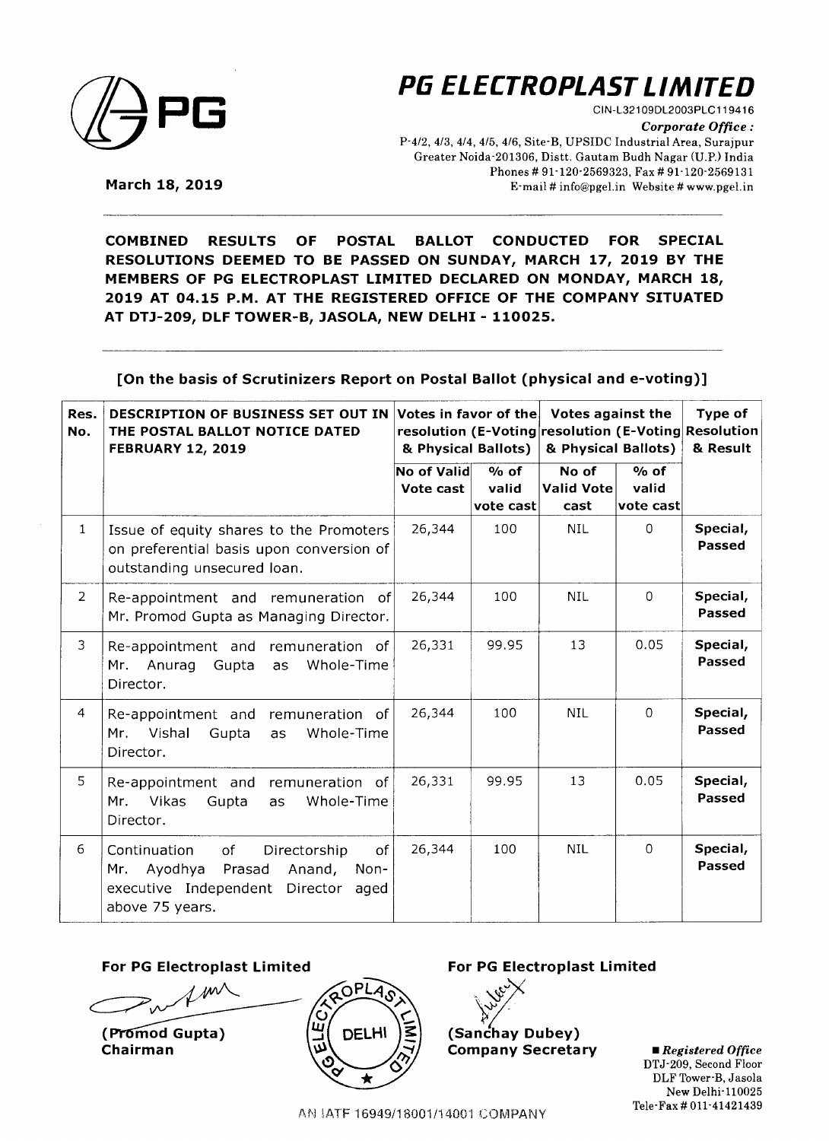

**PG ELECTROPLAST LIMITED** 

CIN-L321 09DL2003PLC119416 *Corporate Office :*  P-4/2, 4/3, 4/4, 4/5, 4/6, Site-B, UPSIDC Industrial Area, Surajpur Greater Noida-201306, Distt. Gautam Budh Nagar (U.P.) India Phones# 91-120-2569323, Fax# 91-120-2569131 E-mail# info@pgel.in Website# www.pgel.in

**March 18, 2019** 

**COMBINED RESULTS OF POSTAL BALLOT CONDUCTED FOR SPECIAL RESOLUTIONS DEEMED TO BE PASSED ON SUNDAY, MARCH 17, 2019 BY THE MEMBERS OF PG ELECTROPLAST LIMITED DECLARED ON MONDAY, MARCH 18, 2019 AT 04.15 P.M. AT THE REGISTERED OFFICE OF THE COMPANY SITUATED AT DTJ-209, DLF TOWER-B, JASOLA, NEW DELHI- 110025.** 

**[On the basis of Scrutinizers Report on Postal Ballot (physical and e-voting)]** 

| Res.<br>No.    | <b>DESCRIPTION OF BUSINESS SET OUT IN</b><br>THE POSTAL BALLOT NOTICE DATED<br><b>FEBRUARY 12, 2019</b>                                                           | Votes in favor of the<br>& Physical Ballots) |                              | <b>Votes against the</b><br>& Physical Ballots) |                                          | Type of<br>resolution (E-Voting resolution (E-Voting Resolution<br>& Result |
|----------------|-------------------------------------------------------------------------------------------------------------------------------------------------------------------|----------------------------------------------|------------------------------|-------------------------------------------------|------------------------------------------|-----------------------------------------------------------------------------|
|                |                                                                                                                                                                   | No of Valid<br>Vote cast                     | $%$ of<br>valid<br>vote cast | No of<br><b>Valid Vote</b><br>cast              | $%$ of<br>valid<br>$ {\sf vote\; cast} $ |                                                                             |
| $\mathbf{1}$   | Issue of equity shares to the Promoters<br>on preferential basis upon conversion of<br>outstanding unsecured loan.                                                | 26,344                                       | 100                          | NIL.                                            | $\Omega$                                 | Special,<br>Passed                                                          |
| $\overline{2}$ | Re-appointment and remuneration of<br>Mr. Promod Gupta as Managing Director.                                                                                      | 26,344                                       | 100                          | <b>NIL</b>                                      | $\circ$                                  | Special,<br>Passed                                                          |
| $\mathfrak{Z}$ | Re-appointment and remuneration of<br>Whole-Time<br>Anurag<br>Gupta<br>Mr.<br>as<br>Director.                                                                     | 26,331                                       | 99.95                        | 13                                              | 0.05                                     | Special,<br>Passed                                                          |
| $\overline{4}$ | Re-appointment and<br>remuneration of<br>Vishal<br>Whole-Time<br>Mr.<br>Gupta<br>as<br>Director.                                                                  | 26,344                                       | 100                          | <b>NIL</b>                                      | $\Omega$                                 | Special,<br><b>Passed</b>                                                   |
| 5              | Re-appointment and remuneration of<br><b>Vikas</b><br>Whole-Time<br>Mr.<br>Gupta<br>as<br>Director.                                                               | 26,331                                       | 99.95                        | 13                                              | 0.05                                     | Special,<br>Passed                                                          |
| 6              | <sub>of</sub><br>Continuation<br>of<br>Directorship<br>Ayodhya<br>Prasad<br>Anand,<br>Non-<br>Mr.<br>executive Independent<br>Director<br>aged<br>above 75 years. | 26,344                                       | 100                          | <b>NIL</b>                                      | $\Omega$                                 | Special,<br>Passed                                                          |

#### **For PG Electroplast Limited For PG Electroplast Limited**

w

(Promod Gupta) Chairman



~}< \7· **(Sanchay Dubey) Company Secretary** 

• *Registered Office*  DTJ-209, Second Floor DLF Tower-B, Jasola New Delhi-110025 Tele-Fax# 011-41421439

AN IATF 16949/18001/14001 COMPANY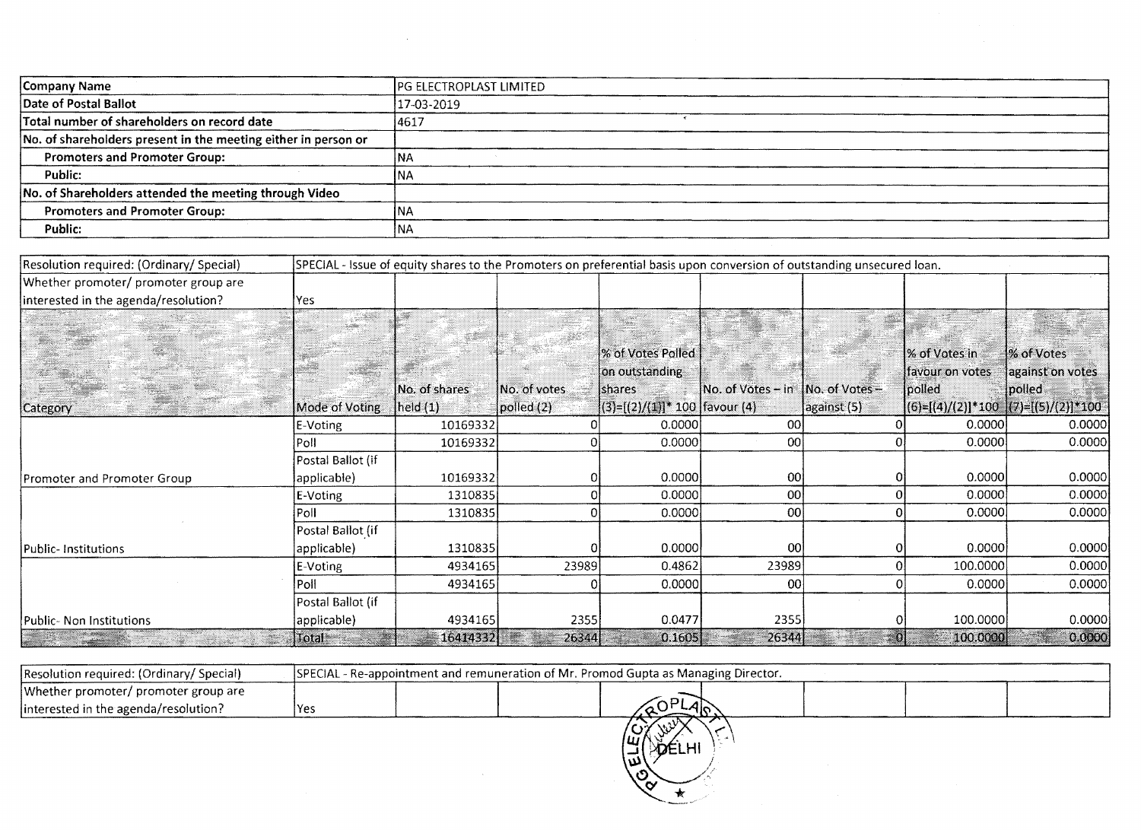| Company Name                                                   | <b>IPG ELECTROPLAST LIMITED</b> |
|----------------------------------------------------------------|---------------------------------|
| Date of Postal Ballot                                          | 17-03-2019                      |
| Total number of shareholders on record date                    | 14617                           |
| No. of shareholders present in the meeting either in person or |                                 |
| <b>Promoters and Promoter Group:</b>                           | INA                             |
| Public:                                                        | INA                             |
| No. of Shareholders attended the meeting through Video         |                                 |
| <b>Promoters and Promoter Group:</b>                           | INA                             |
| Public:                                                        | <b>INA</b>                      |

 $\sim$   $\sim$ 

| Resolution required: (Ordinary/Special) |                   | SPECIAL - Issue of equity shares to the Promoters on preferential basis upon conversion of outstanding unsecured loan. |                  |                                  |                                                                                 |             |                 |                                           |
|-----------------------------------------|-------------------|------------------------------------------------------------------------------------------------------------------------|------------------|----------------------------------|---------------------------------------------------------------------------------|-------------|-----------------|-------------------------------------------|
| Whether promoter/ promoter group are    |                   |                                                                                                                        |                  |                                  |                                                                                 |             |                 |                                           |
| interested in the agenda/resolution?    | Yes               |                                                                                                                        |                  |                                  |                                                                                 |             |                 |                                           |
|                                         |                   |                                                                                                                        |                  |                                  |                                                                                 |             |                 |                                           |
|                                         |                   |                                                                                                                        |                  |                                  |                                                                                 |             |                 |                                           |
|                                         |                   |                                                                                                                        |                  | % of Votes Polled                |                                                                                 |             | % of Votes in   | % of Votes                                |
|                                         |                   |                                                                                                                        |                  | on outstanding                   |                                                                                 |             | favour on votes | against on votes                          |
|                                         |                   | No. of shares                                                                                                          | INo. of votes.   | shares                           | $\overline{\textsf{No.}}$ of Votes – in $\overline{\phantom{a}}$ No. of Votes – |             | polled          | polled                                    |
| Category                                | Mode of Voting    | $\vert$ held $(1)$                                                                                                     | $ p$ olled $(2)$ | $(3)=[(2)/(1)]*100$   favour (4) |                                                                                 | against (5) |                 | $ (6)=[(4)/(2)]*100$ $ (7)=[(5)/(2)]*100$ |
|                                         | E-Voting          | 10169332                                                                                                               |                  | 0.0000                           | 00                                                                              |             | 0.0000          | 0.0000                                    |
|                                         | Poll              | 10169332                                                                                                               |                  | 0.0000                           | ool                                                                             |             | 0.0000          | 0.0000                                    |
|                                         | Postal Ballot (if |                                                                                                                        |                  |                                  |                                                                                 |             |                 |                                           |
| Promoter and Promoter Group             | applicable)       | 10169332                                                                                                               |                  | 0.0000                           | 00                                                                              |             | 0.0000          | 0.0000                                    |
|                                         | E-Voting          | 1310835                                                                                                                |                  | 0.0000                           | 00                                                                              |             | 0.0000          | 0.0000                                    |
|                                         | Poll              | 1310835                                                                                                                |                  | 0.0000                           | 00                                                                              |             | 0.0000          | 0.0000                                    |
|                                         | Postal Ballot (if |                                                                                                                        |                  |                                  |                                                                                 |             |                 |                                           |
| <b>Public-Institutions</b>              | applicable)       | 1310835                                                                                                                |                  | 0.0000                           | 00                                                                              |             | 0.0000          | 0.0000                                    |
|                                         | E-Voting          | 4934165                                                                                                                | 23989            | 0.4862                           | 23989                                                                           |             | 100.0000        | 0.0000                                    |
|                                         | Poll              | 4934165                                                                                                                |                  | 0.0000                           | 00                                                                              |             | 0.0000          | 0.0000                                    |
|                                         | Postal Ballot (if |                                                                                                                        |                  |                                  |                                                                                 |             |                 |                                           |
| Public- Non Institutions                | applicable)       | 4934165                                                                                                                | 2355             | 0.0477                           | 2355                                                                            |             | 100.0000        | 0.0000                                    |
|                                         | $\mathsf{Total}$  | 16414332                                                                                                               | 26344            | 0.1605                           | 26344                                                                           |             | 100.0000        | 0.0000                                    |

| Resolution required: (Ordinary/Special) | SPECIAL - Re-appointment and remuneration of Mr. Promod Gupta as Managing Director. |      |  |  |  |  |  |  |  |  |
|-----------------------------------------|-------------------------------------------------------------------------------------|------|--|--|--|--|--|--|--|--|
| Whether promoter/ promoter group are    |                                                                                     |      |  |  |  |  |  |  |  |  |
| linterested in the agenda/resolution?   | IYes                                                                                | -410 |  |  |  |  |  |  |  |  |

HOTORINI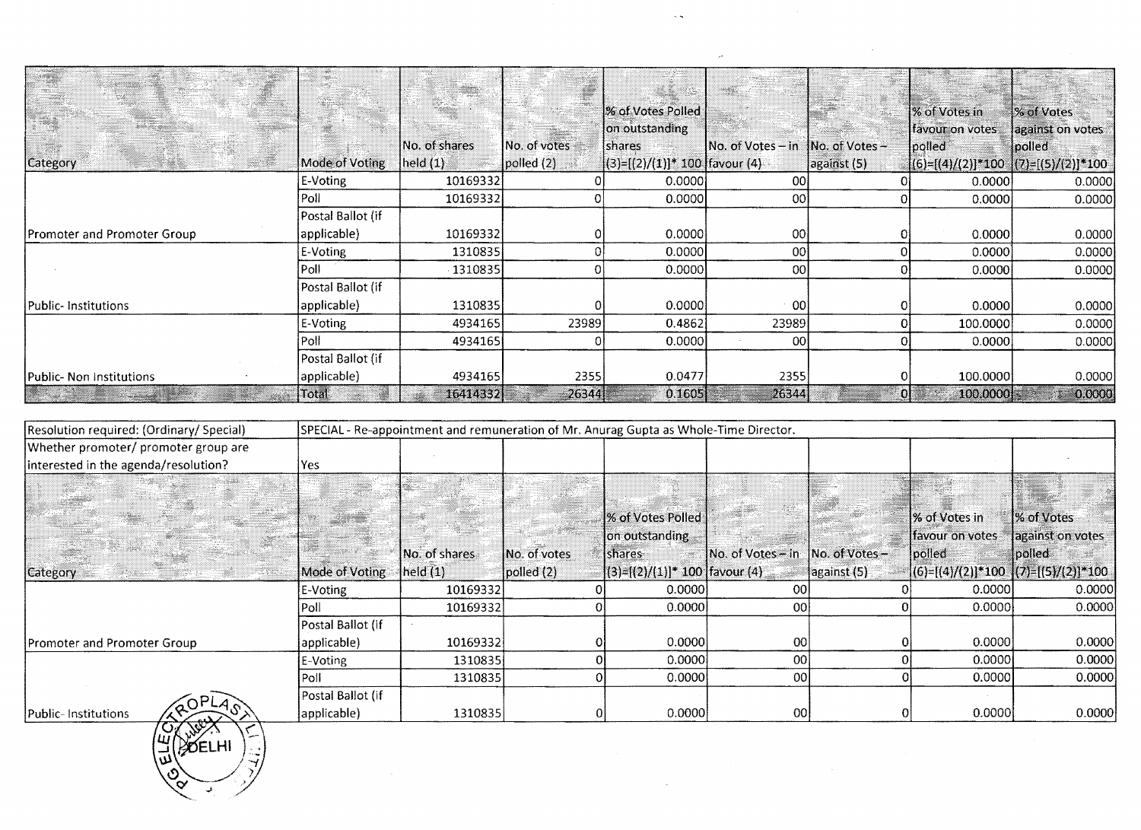|                             |                   |               |                  | % of Votes Polled  <br>on outstanding |                   |                      | % of Votes in<br>favour on votes        | % of Votes<br>against on votes |
|-----------------------------|-------------------|---------------|------------------|---------------------------------------|-------------------|----------------------|-----------------------------------------|--------------------------------|
|                             |                   | No. of shares | No. of votes     | shares                                | No. of Votes – in | $1$ No. of Votes $-$ | polled                                  | polled                         |
| <b>Category</b>             | Mode of Voting    | held(1)       | $ p$ olled $(2)$ | $ (3)=[(2)/(1)]^*$ 100 favour (4)     |                   | against (5)          | $[(6)=[(4)/(2)]*100 [(7)=[(5)/(2)]*100$ |                                |
|                             | E-Voting          | 10169332      |                  | 0.0000                                | 00                |                      | 0.0000                                  | 0.0000                         |
|                             | Poll              | 10169332      |                  | 0.0000                                | 00                |                      | 0.0000                                  | 0.0000                         |
|                             | Postal Ballot (if |               |                  |                                       |                   |                      |                                         |                                |
| Promoter and Promoter Group | applicable)       | 10169332      |                  | 0.0000                                | [00]              |                      | 0.0000                                  | 0.0000                         |
|                             | E-Voting          | 1310835       |                  | 0.0000                                | 00                |                      | 0.0000                                  | 0.0000                         |
|                             | Poll              | $-1310835$    |                  | 0.0000                                | 00 <sup>1</sup>   |                      | 0.0000                                  | 0.0000                         |
|                             | Postal Ballot (if |               |                  |                                       |                   |                      |                                         |                                |
| Public-Institutions         | applicable)       | 1310835       |                  | 0.0000                                | -001              |                      | 0.0000                                  | 0.0000                         |
|                             | E-Voting          | 4934165       | 23989            | 0.4862                                | 23989             |                      | 100.0000                                | 0.0000                         |
|                             | Poll              | 4934165       |                  | 0.0000                                | 00                |                      | 0.0000                                  | 0.0000                         |
|                             | Postal Ballot (if |               |                  |                                       |                   |                      |                                         |                                |
| Public- Non Institutions    | applicable)       | 4934165       | 2355             | 0.0477                                | 2355              |                      | 100.0000                                | 0.0000                         |
|                             | Total.            | 16414332      | $-26344$         | 0.1605                                | 26344             | OI                   | 100,0000                                | 0.0000                         |

 $\sim$   $\sim$ 

 $\bar{\rho}$  .

 $\bar{\beta}$ 

 $\sim$ 

| Resolution required: (Ordinary/Special)        |                   | SPECIAL - Re-appointment and remuneration of Mr. Anurag Gupta as Whole-Time Director. |              |                                   |                   |                |                 |                                           |
|------------------------------------------------|-------------------|---------------------------------------------------------------------------------------|--------------|-----------------------------------|-------------------|----------------|-----------------|-------------------------------------------|
| Whether promoter/ promoter group are           |                   |                                                                                       |              |                                   |                   |                |                 |                                           |
| interested in the agenda/resolution?           | Yes               |                                                                                       |              |                                   |                   |                |                 |                                           |
|                                                |                   |                                                                                       |              |                                   |                   |                |                 |                                           |
|                                                |                   |                                                                                       |              |                                   |                   |                |                 |                                           |
|                                                |                   |                                                                                       |              | % of Votes Polled                 |                   |                | % of Votes in   | % of Votes                                |
|                                                |                   |                                                                                       |              | on outstanding                    |                   |                | favour on votes | against on votes                          |
|                                                |                   | No. of shares                                                                         | No. of votes | <b>Ishares</b>                    | No. of Votes - in | No. of Votes - | polled          | polled                                    |
| <b>Category</b><br>an an t-ainm<br>William Str | Mode of Voting    | $ $ held $(1)$                                                                        | [polled (2)] | $ (3)$ =[(2)/(1)]* 100 favour (4) |                   | against (5)    |                 | $ (6)=[(4)/(2)]*100$ $ (7)=[(5)/(2)]*100$ |
|                                                | E-Voting          | 10169332                                                                              |              | 0.0000                            | ool               |                | 0.0000          | 0.0000                                    |
|                                                | Poll              | 10169332                                                                              |              | 0.0000                            | 00l               |                | 0.0000          | 0.0000                                    |
|                                                | Postal Ballot (if |                                                                                       |              |                                   |                   |                |                 |                                           |
| Promoter and Promoter Group                    | applicable)       | 10169332                                                                              |              | 0.0000                            | 00                |                | 0.00001         | 0.0000                                    |
|                                                | E-Voting          | 1310835                                                                               |              | 0.0000                            | 00                |                | 0.0000          | 0.0000                                    |
|                                                | Poll              | 1310835                                                                               |              | 0.0000                            | 00                |                | 0.0000          | 0.0000                                    |
|                                                | Postal Ballot (if |                                                                                       |              |                                   |                   |                |                 |                                           |
| Public-Institutions                            | applicable)       | 1310835                                                                               |              | 0.0000                            | 00 <sub>l</sub>   |                | 0.00001         | 0.0000                                    |

 $\sim$ 

RUPL<br>WORK 医学

้ง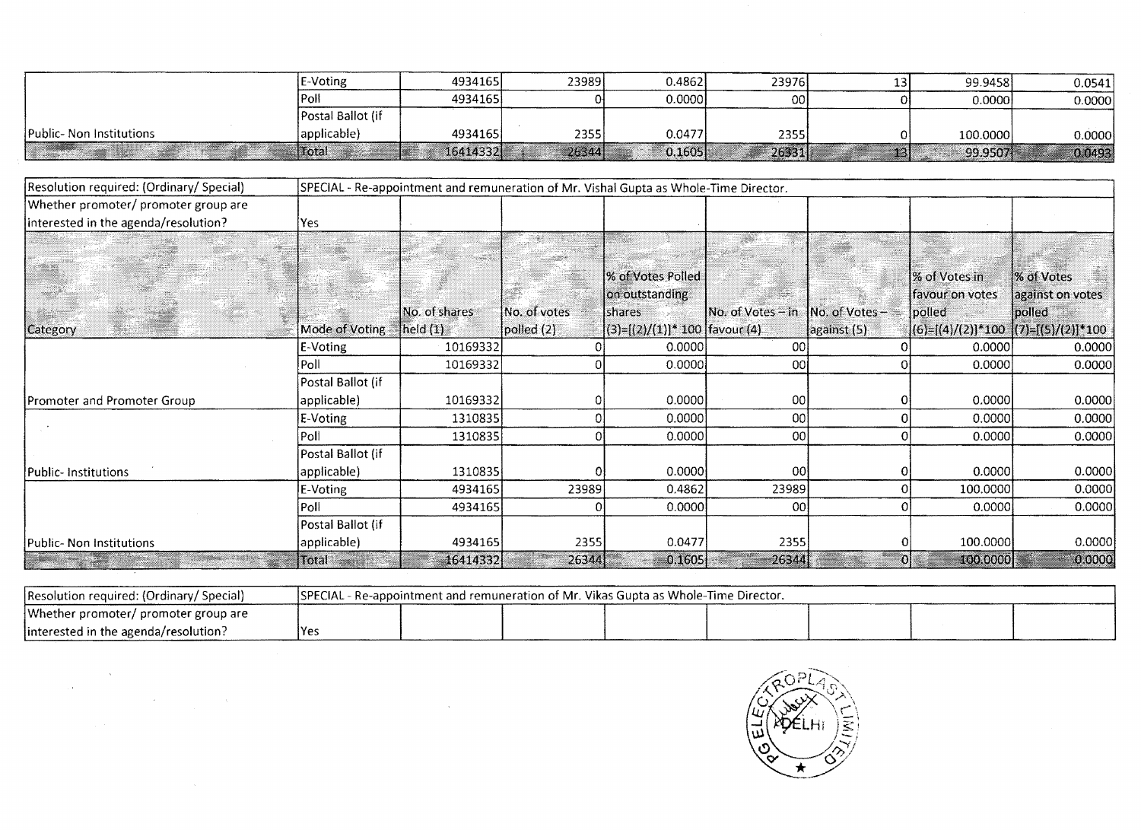|                          | E-Voting          | 4934165  | 23989 | 0.4862  | 23976           | 13'  | 99.9458  | 0.0541 |
|--------------------------|-------------------|----------|-------|---------|-----------------|------|----------|--------|
|                          | `⊬oli:            | 4934165  |       | 0.00001 | 00 <sup>1</sup> |      | 0.00001  | 0.0000 |
|                          | Postal Ballot (if |          |       |         |                 |      |          |        |
| Public- Non Institutions | 'applicable)      | 4934165  | 2355  | 0.0477  | 2355            |      | 100.0000 | 0.0000 |
|                          | Hotal             | 16414332 | 26344 | 0.1605  | 26331           | T31. | 99.9507  | 0.0493 |

| Resolution required: (Ordinary/ Special) |                   |               | SPECIAL - Re-appointment and remuneration of Mr. Vishal Gupta as Whole-Time Director. |                                      |                   |               |                                           |                  |
|------------------------------------------|-------------------|---------------|---------------------------------------------------------------------------------------|--------------------------------------|-------------------|---------------|-------------------------------------------|------------------|
| Whether promoter/ promoter group are     |                   |               |                                                                                       |                                      |                   |               |                                           |                  |
| interested in the agenda/resolution?     | Yes               |               |                                                                                       |                                      |                   |               |                                           |                  |
|                                          |                   |               |                                                                                       |                                      |                   |               |                                           |                  |
|                                          |                   |               |                                                                                       |                                      |                   |               |                                           |                  |
|                                          |                   |               |                                                                                       | % of Votes Polled                    |                   |               | % of Votes in                             | % of Votes       |
|                                          |                   |               |                                                                                       | on outstanding                       |                   |               | favour on votes                           | against on votes |
|                                          |                   | No. of shares | No. of votes                                                                          | <b>Shares</b>                        | No. of Votes - in | Mo. of Votes- | polled                                    | polled           |
| Category                                 | Mode of Voting    | [held(1)]     | polled (2)                                                                            | $ (3)=[(2)/(1)]^* 100$   favour (4). |                   | against (5)   | $ (6)=[(4)/(2)]*100$ $ (7)=[(5)/(2)]*100$ |                  |
|                                          | E-Voting          | 10169332      |                                                                                       | 0.0000                               | 00                |               | 0.0000                                    | 0.0000           |
|                                          | Poll              | 10169332      |                                                                                       | 0.0000                               | 00                |               | 0.0000                                    | 0.0000           |
|                                          | Postal Ballot (if |               |                                                                                       |                                      |                   |               |                                           |                  |
| Promoter and Promoter Group              | applicable)       | 10169332      |                                                                                       | 0.0000                               | 00                |               | 0.0000                                    | 0.0000           |
|                                          | E-Voting          | 1310835       |                                                                                       | 0.0000                               | 00                |               | 0.0000                                    | 0.0000           |
|                                          | Poll              | 1310835       |                                                                                       | 0.0000                               | 00                |               | 0.0000                                    | 0.0000           |
|                                          | Postal Ballot (if |               |                                                                                       |                                      |                   |               |                                           |                  |
| Public- Institutions                     | applicable)       | 1310835       |                                                                                       | 0.0000                               | 00                |               | 0.0000                                    | 0.0000           |
|                                          | E-Voting          | 4934165       | 23989                                                                                 | 0.4862                               | 23989             |               | 100.0000                                  | 0.0000           |
|                                          | Poll              | 4934165       |                                                                                       | 0.0000                               | 00                |               | 0.0000                                    | 0.0000           |
|                                          | Postal Ballot (if |               |                                                                                       |                                      |                   |               |                                           |                  |
| Public- Non Institutions                 | applicable)       | 4934165       | 2355                                                                                  | 0.0477                               | 2355              |               | 100.0000                                  | 0.0000           |
|                                          | Total             | 16414332      | 26344                                                                                 | 0.1605                               | 26344             | ΟI            | 100.0000                                  | 0.0000           |

| Resolution required: (Ordinary/Special) | [SPECIAL - Re-appointment and remuneration of Mr. Vikas Gupta as Whole-Time Director.] |  |  |  |  |  |  |  |  |  |
|-----------------------------------------|----------------------------------------------------------------------------------------|--|--|--|--|--|--|--|--|--|
| Whether promoter/ promoter group are    |                                                                                        |  |  |  |  |  |  |  |  |  |
| linterested in the agenda/resolution?   | lYe:                                                                                   |  |  |  |  |  |  |  |  |  |

 $\sim 100$ 

 $\label{eq:2} \frac{1}{2} \int_{\mathbb{R}^2} \left| \frac{d\mu}{d\mu} \right| \, d\mu$ 

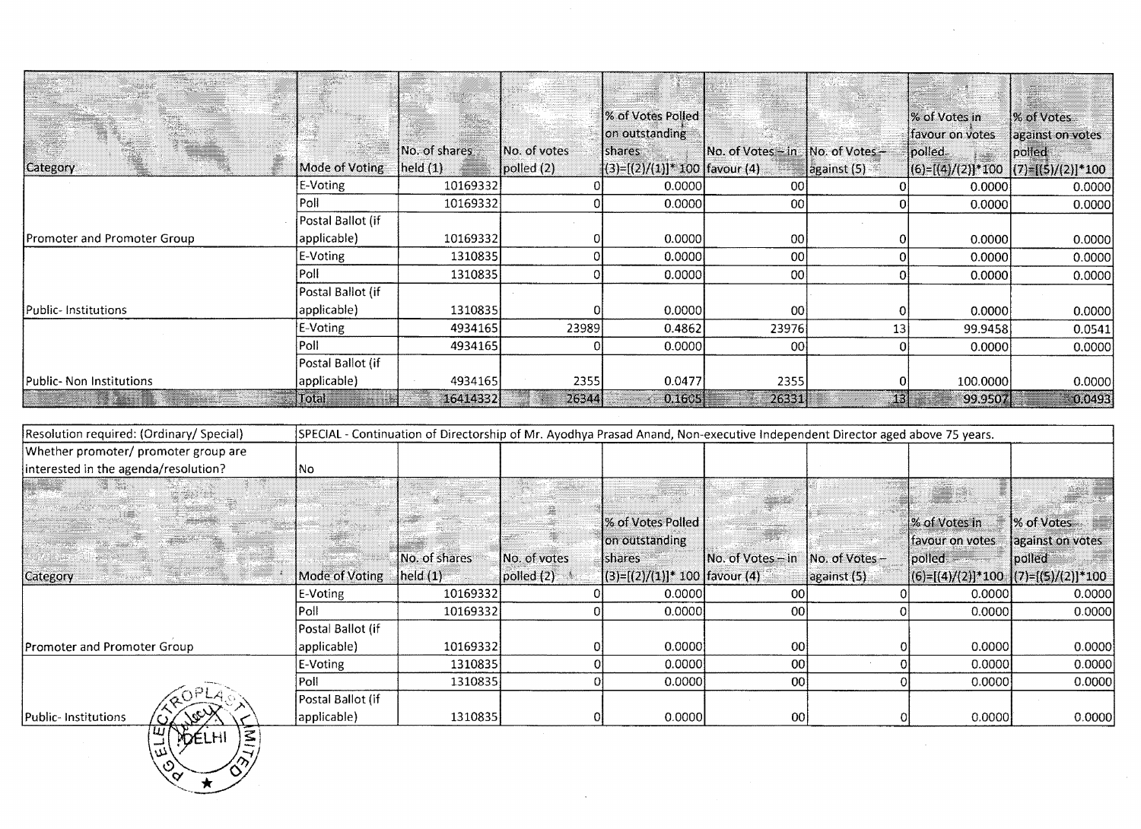|                             |                   |                    |                     | % of Votes Polled  <br>on outstanding |                                  |                     | % of Votes in<br>favour on votes     | W of Votes<br>against on votes |
|-----------------------------|-------------------|--------------------|---------------------|---------------------------------------|----------------------------------|---------------------|--------------------------------------|--------------------------------|
|                             |                   | No. of shares      | <b>No. of votes</b> | shares                                | No. of Votes - in No. of Votes - |                     | polled.                              | polled                         |
| Category                    | Mode of Voting    | $\vert$ held $(1)$ | polled (2)          | $ (3)=[(2)/(1)]^*$ 100   favour (4)   |                                  | $\vert$ against (5) | $ (6)-(4)/(2) *100 (7)-(5)/(2) *100$ |                                |
|                             | E-Voting          | 10169332           |                     | 0.0000                                | 001                              |                     | 0.0000                               | 0.0000                         |
|                             | Poll              | 10169332           |                     | 0.0000                                | 00                               |                     | 0.0000                               | 0.0000                         |
|                             | Postal Ballot (if |                    |                     |                                       |                                  |                     |                                      |                                |
| Promoter and Promoter Group | applicable)       | 10169332           |                     | 0.0000                                | 00 <sup>1</sup>                  |                     | 0.0000                               | 0.0000                         |
|                             | E-Voting          | 1310835            |                     | 0.0000                                | 00                               |                     | 0.0000                               | 0.0000                         |
|                             | Poll              | 1310835            |                     | 0.0000                                | 00                               |                     | 0.0000                               | 0.0000                         |
|                             | Postal Ballot (if |                    |                     |                                       |                                  |                     |                                      |                                |
| Public- Institutions        | applicable)       | 1310835            |                     | 0.0000                                | 00                               |                     | 0.0000                               | 0.0000                         |
|                             | E-Voting          | 4934165            | 23989               | 0.4862                                | 23976                            | 13                  | 99.9458                              | 0.0541                         |
|                             | l Poll            | 4934165            |                     | 0.0000                                | 001                              |                     | 0.0000                               | 0.0000                         |
|                             | Postal Ballot (if |                    |                     |                                       |                                  |                     |                                      |                                |
| Public-Non Institutions     | applicable)       | 4934165            | 2355                | 0.0477                                | 2355                             |                     | 100.0000                             | 0.0000                         |
|                             | Total             | 16414332           | 26344               | 0.1605                                | 26331                            | 13                  | 99,9507                              | 0.0493                         |

 $\sim$ 

| Resolution required: (Ordinary/ Special)<br>SPECIAL - Continuation of Directorship of Mr. Ayodhya Prasad Anand, Non-executive Independent Director aged above 75 years. |                   |                                  |                 |                                    |                   |                  |                 |                                           |
|-------------------------------------------------------------------------------------------------------------------------------------------------------------------------|-------------------|----------------------------------|-----------------|------------------------------------|-------------------|------------------|-----------------|-------------------------------------------|
| Whether promoter/ promoter group are                                                                                                                                    |                   |                                  |                 |                                    |                   |                  |                 |                                           |
| interested in the agenda/resolution?                                                                                                                                    | No                |                                  |                 |                                    |                   |                  |                 |                                           |
|                                                                                                                                                                         |                   |                                  |                 |                                    |                   |                  |                 |                                           |
|                                                                                                                                                                         |                   |                                  |                 |                                    |                   |                  |                 |                                           |
|                                                                                                                                                                         |                   |                                  |                 | % of Votes Polled                  |                   |                  | % of Votes in   | % of Votes                                |
|                                                                                                                                                                         |                   |                                  |                 | on outstanding                     |                   |                  | favour on votes | against on votes                          |
|                                                                                                                                                                         |                   | [No. of shares]                  | No. of votes    | <b>Ishares</b>                     | No. of Votes – in | $No. of Votes -$ | lpolled :       | polled                                    |
| <b>Category</b>                                                                                                                                                         | Mode of Voting    | $\left  \text{held (1)} \right $ | $p$ olled $(2)$ | $ (3)=[(2)/(1)]^*$ 100  favour (4) |                   | against (5)      |                 | $ (6)=[(4)/(2)]*100$ $ (7)=[(5)/(2)]*100$ |
|                                                                                                                                                                         | E-Voting          | 10169332                         |                 | 0.0000                             | 00                |                  | 0.0000          | 0.0000                                    |
|                                                                                                                                                                         | Poll              | 10169332                         |                 | 0.0000                             | 00                |                  | 0.0000          | 0.0000                                    |
|                                                                                                                                                                         | Postal Ballot (if |                                  |                 |                                    |                   |                  |                 |                                           |
| <b>Promoter and Promoter Group</b>                                                                                                                                      | applicable)       | 10169332                         |                 | 0.0000                             | 00                |                  | 0.0000          | 0.0000                                    |
|                                                                                                                                                                         | E-Voting          | 1310835                          |                 | 0.00001                            | 00                |                  | 0.0000          | 0.0000                                    |
|                                                                                                                                                                         | Poll              | 1310835                          |                 | 0.0000                             | 00 <sup>1</sup>   |                  | 0.0000          | 0.0000                                    |
|                                                                                                                                                                         | Postal Ballot (if |                                  |                 |                                    |                   |                  |                 |                                           |
| Public-Institutions                                                                                                                                                     | applicable)       | 1310835                          |                 | 0.0000                             | -00 l             |                  | 0.0000          | 0.0000                                    |

♦

ົ໐∕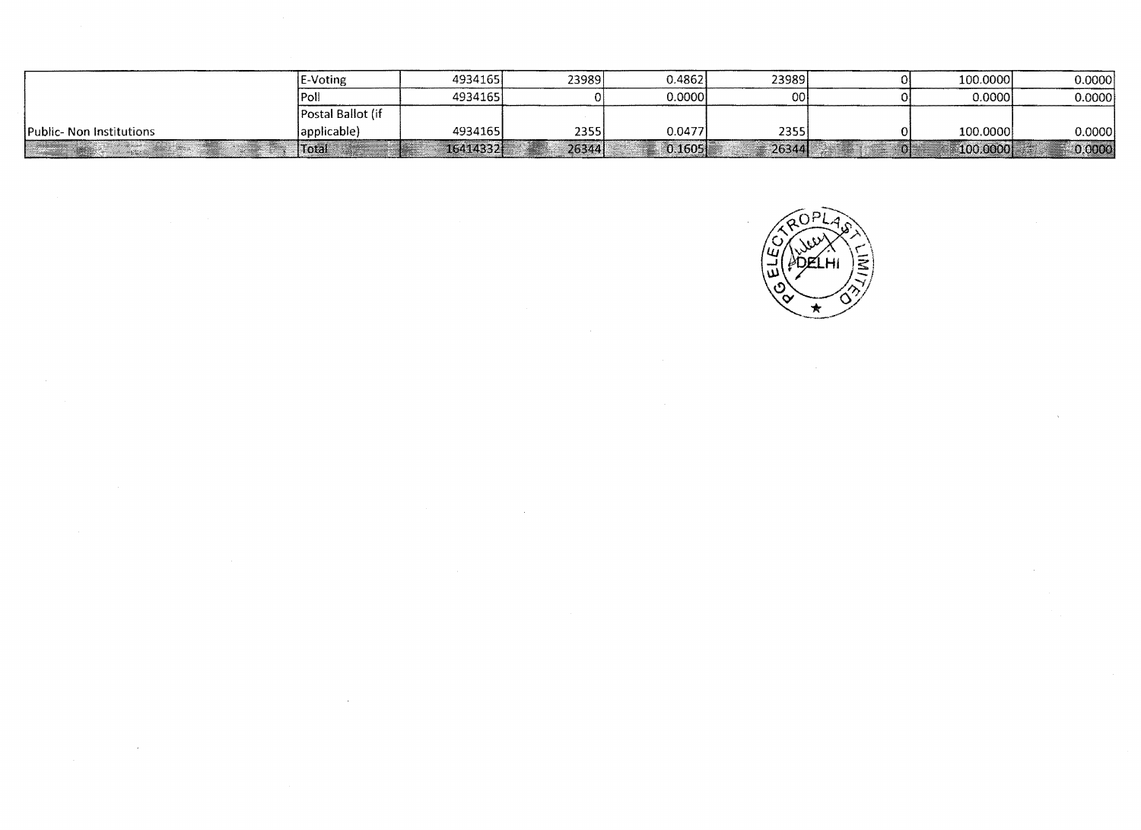|                                 | E-Voting          | 4934165  | 23989 | 0.4862  | 23989    | 100.0000          | 0.0000 |
|---------------------------------|-------------------|----------|-------|---------|----------|-------------------|--------|
|                                 | <b>IPOL</b>       | 4934165  |       | 0.0000  | 00 I     | 0.00001           | 0.0000 |
|                                 | Postal Ballot (if |          |       |         |          |                   |        |
| <b>Public- Non Institutions</b> | lapplicable)      | 4934165  | 23551 | 0.0477  | 2355     | 100.0000          | 0.0000 |
|                                 | <b>Total</b>      | 16414332 | 26344 | 0.16051 | $-26344$ | $\sqrt{100.0000}$ | 0.0000 |

 $\sim$ 

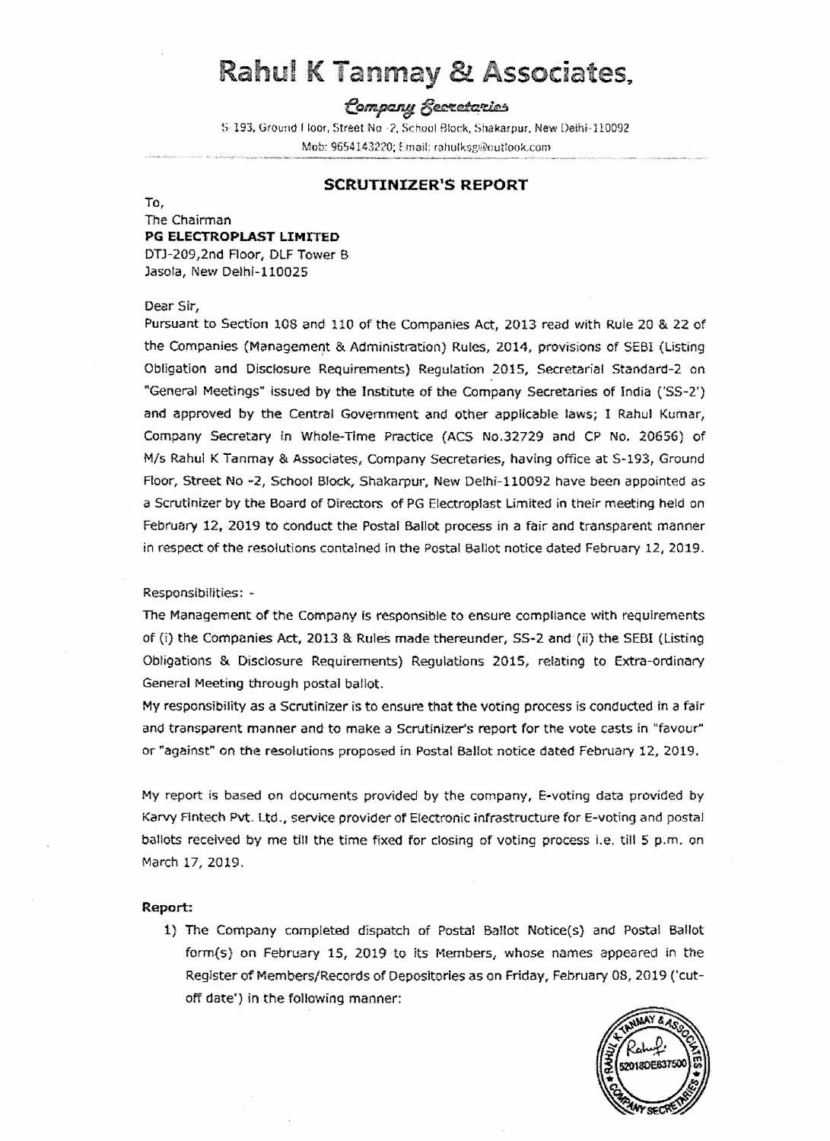# Rahul K Tanmay & Associates,

# Company Secretaries

5-193, Ground Floor, Street No -2, School Block, Shakarpur, New Deihi-110092 Mob: 9654143220; Email: rahulksg@outlook.com

#### **SCRUTINIZER<sup>1</sup> S REPORT**

To,

#### The Chairman **PG ELECTROPLAST LIMITED**

DTJ-209,2nd Floor, DLF Tower B Jasola, New Delhi-110025

#### Dear Sir,

Pursuant to Section lOS and 110 of the Companles Act, 2013 read with Rule 20 & 22 of the Companies (Management & Administration) Rules, 2014, provisions of SEBI (Listing Obligation and Disclosure Requirements) Regulation 2015, Secretarial Standard-2 on "General Meetings" issued by the Institute of the Company Secretaries of India ('SS-2') and approved by the Central Government and. other applicable laws; I Rahul Kumar, Company Secretary in Whole-Time Practice (ACS No.32729 and CP No. 20656) of M/s Rahul K Tanmay & Associates, Company Secretaries, having office at S-193, Ground Floor, Street No -2, School Block, Shakarpur, New Delhi-110092 have been appointed as a Scrutinizer by the Board of Directors of PG Electroplast Limited in their meeting held on February 12, 2019 to conduct the Postal Ballot process in a fair and transparent manner in respect of the resolutions contained in the Postal Ballot notice dated February 12, 2019.

#### Responsibilities: -

The Management of the Company is responsible to ensure compliance with requirements of (i) the Companies Act, 2013 & Rules made thereunder, SS-2 and (ii) the SEBI (listing Obligations & Disclosure Requirements) Regulations 2015, relating to Extra-ordinary General Meeting through postal ballot.

My responsibility as a Scrutinizer is to ensure that the voting process is conducted in a fair and transparent manner and to make a Scrutinizer's report for the vote casts in "favour" or "against" on the resolutions proposed in Postal Ballot notice dated February 12, 2019.

My report is based on documents provided by the company, E-voting data provided by Karvy Fintech Pvt. Ltd., service provider of Electronic infrastructure for E-voting and postal baHots received by me till the time fixed for closing of voting process i.e. till S p.m. on March 17, 2019.

#### **Report:**

i) The Company completed dispatch of Postal Ballot Notice(s) and Postal Ballot form(s) on February 15, 2019 to its Members, whose names appeared in the Reglster of Members/Records of Depositories as on Friday, February 08, 2019 ('cutoff date') in the following manner:

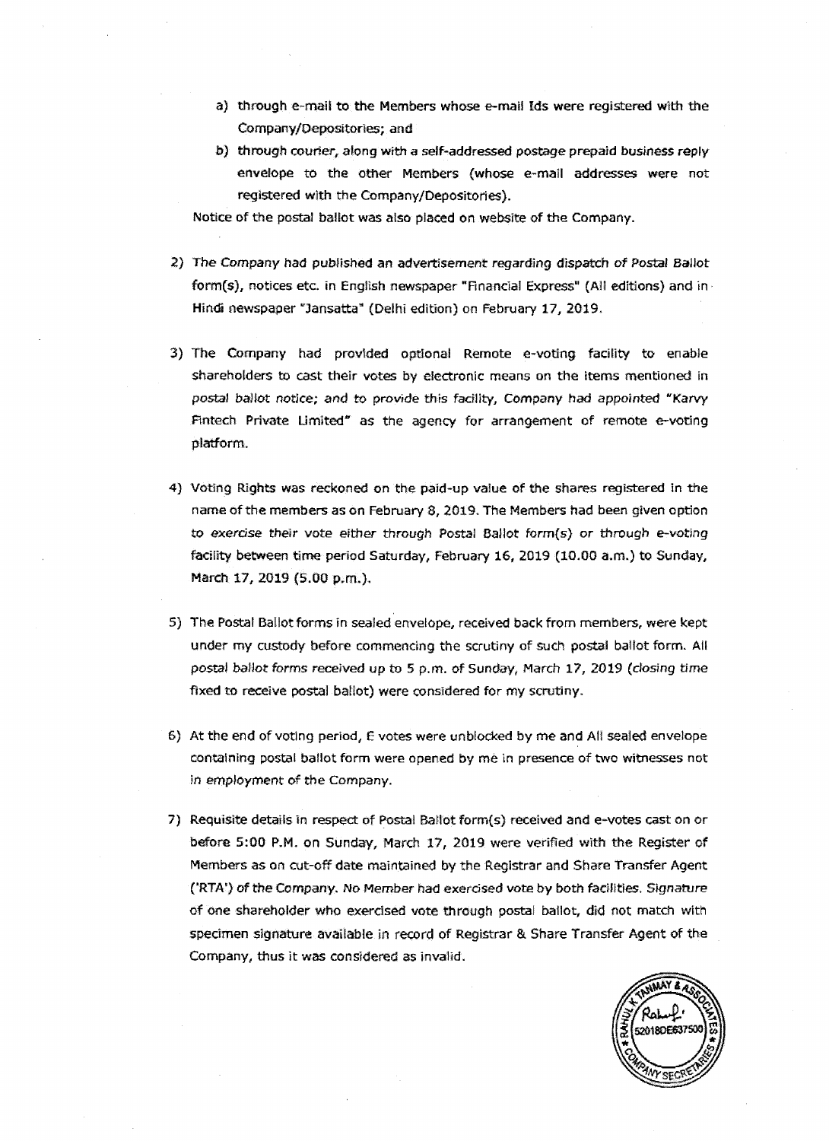- a} through e-mail to the Members whose e-mail Ids were registered with the Company/Oepositorles; and
- b) through courier, along with *a* self-addressed postage prepaid business repJy envelope to the other Members (whose e-mail addresses were not registered with the Company/Depositories).

Notice of the postal ballot was also placed on website of the Company.

- 2) The Company had published an advertisement regarding dispatch of Postal Ballot form(s), notices etc. in English newspaper "Financial Express" (All editions) and in · Hindi newspaper "Jansatta" (Delhi edition) on February 17, 2019.
- 3) The Company had provided optional Remote e-voting facility to enable shareholders to cast their votes by electronic means on the items mentioned in postal ballot notice; and to provide this facility, Company had appointed "Karvy Fintech Private Limited" as the agency for arrangement of remote e-voting platform.
- 4) Voting Rights was reckoned on the paid-up value of the shares registered in the name of the members as on February 8, 2019. The Members had been given option to exercise their vote either through Postal Ballot form{s) or through e-voting facility between time period Saturday, February 16, 2019 (10.00 a.m.) to Sunday, March 17, 2019 (5.00 p.m.).
- 5) The Posta! Ballot forms ln sealed envelope, received back from members, were kept under my custody before commencing the scrutiny of such postal ballot form. All postal ballot forms received up to 5 p.m. of Sunday, March 17, 2019 (closing time fixed to receive postal ballot) were considered for my scrutiny.
- 6) At the end of voting period, E votes were unblocked by me and All sealed envelope containing postal ballot form were opened by me ln presence of two witnesses not in employment of the Company.
- 7) Requisite details In respect of Postal Ballot form(s) received and e-votes cast on or before 5:00 P.M. on Sunday, March 17, 2019 were verified with the Register of Members as on cut-off date maintained by the Registrar and Share Transfer Agent ('RTA') of the Company. No Member had exerdsed vote by both facilities. Sjgnature of one shareholder who exerdsed vote through postal ballot, did not match with specimen signature avaifable in record of Registrar & Share Transfer Agent of the Company, thus lt was considered as invalid.

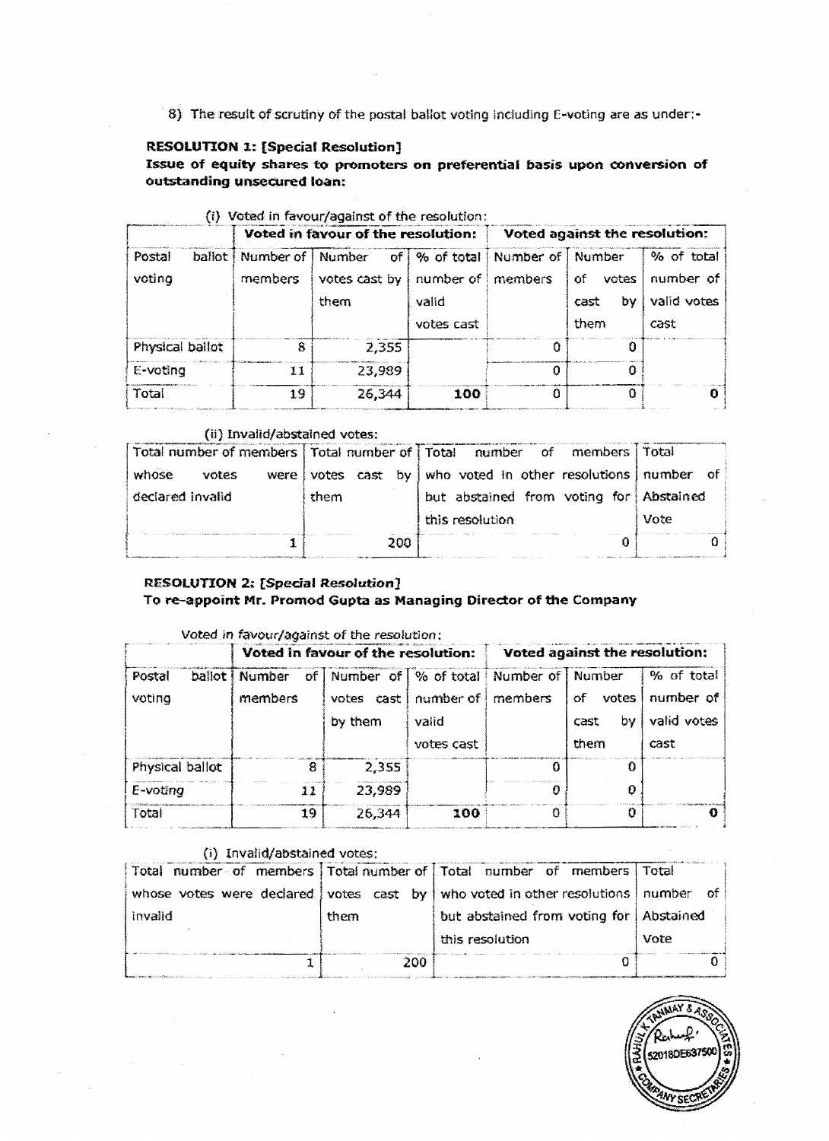8) The result of scrutiny of the postal ballot voting including E-voting are as under:-

# **RESOWTION 1: [Special Resolution]**

Issue of equity shares to promoters on preferential basis upon conversion of **outstanding unsecured loan:** 

|                            |         | Voted in favour of the resolution:                                                                          |                     | Voted against the resolution: |                                   |                                                |  |
|----------------------------|---------|-------------------------------------------------------------------------------------------------------------|---------------------|-------------------------------|-----------------------------------|------------------------------------------------|--|
| Postal<br>ballot<br>voting | members | Number of Number of 9% of total Number of Number<br>votes cast by $\vert$ number of $\vert$ members<br>them | valid<br>votes cast |                               | 0f<br>votes<br>bγ<br>cast<br>them | % of total<br>number of<br>valid votes<br>cast |  |
| Physical ballot            | 8       | 2,355                                                                                                       |                     | п                             | O                                 |                                                |  |
| E-voting                   | 11      | 23,989                                                                                                      |                     |                               | Ð                                 |                                                |  |
| Total                      | 19      | 26,344                                                                                                      | 100                 |                               | 0                                 | o                                              |  |

# (i) Voted in favour/against of the resolution:

#### (ii) Invalid/abstained votes:

| Total                                                    | 19                            |       | 26,344     | 100             |                                |                |
|----------------------------------------------------------|-------------------------------|-------|------------|-----------------|--------------------------------|----------------|
|                                                          | (ii) Invalid/abstained votes: |       |            |                 |                                |                |
| Total number of members   Total number of   Total number |                               |       |            |                 | of members                     | Total          |
| whose<br>votes                                           | were                          | votes | cast<br>bv |                 | who voted in other resolutions | number<br>- of |
| declared invalid                                         |                               | them  |            |                 | but abstained from voting for  | Abstained      |
|                                                          |                               |       |            | this resolution |                                | Vote           |
|                                                          |                               |       | 200        |                 |                                |                |

#### **RESOLUTION 2: [Special Resolution] To re-appoint Mr. Promod Gupta as Managing Director of the Company**

#### Voted in favour/against of the resolution:

|                 |                         | Voted in favour of the resolution:          |            |   | Voted against the resolution: |             |
|-----------------|-------------------------|---------------------------------------------|------------|---|-------------------------------|-------------|
| Postal          | ballot   Number<br>of I | Number of   % of total   Number of   Number |            |   |                               | % of total  |
| voting          | members                 | votes cast   number of   members            |            |   | of votes                      | number of   |
|                 |                         | by them                                     | valid      |   | bv<br>cast                    | valid votes |
|                 |                         |                                             | votes cast |   | them                          | cast        |
| Physical ballot | 8                       | 2,355                                       |            | U | 0                             |             |
| E-voting        | 11                      | 23,989                                      |            |   |                               |             |
| Total           | 19                      | 26,344                                      | 100        | n | o                             |             |

# (i} Invalid/abstained votes:

|                                                                                                                                                                                                                                     |      | Total number of members Total number of Total number of members Total           |      |
|-------------------------------------------------------------------------------------------------------------------------------------------------------------------------------------------------------------------------------------|------|---------------------------------------------------------------------------------|------|
|                                                                                                                                                                                                                                     |      | whose votes were declared votes cast by who voted in other resolutions   number | of   |
| invalid                                                                                                                                                                                                                             | them | but abstained from voting for Abstained                                         |      |
|                                                                                                                                                                                                                                     |      | this resolution                                                                 | Vote |
| <b>A</b> construction of the construction of the construction of the construction of the construction of the construction of the construction of the construction of the construction of the construction of the construction of th | 200  |                                                                                 |      |

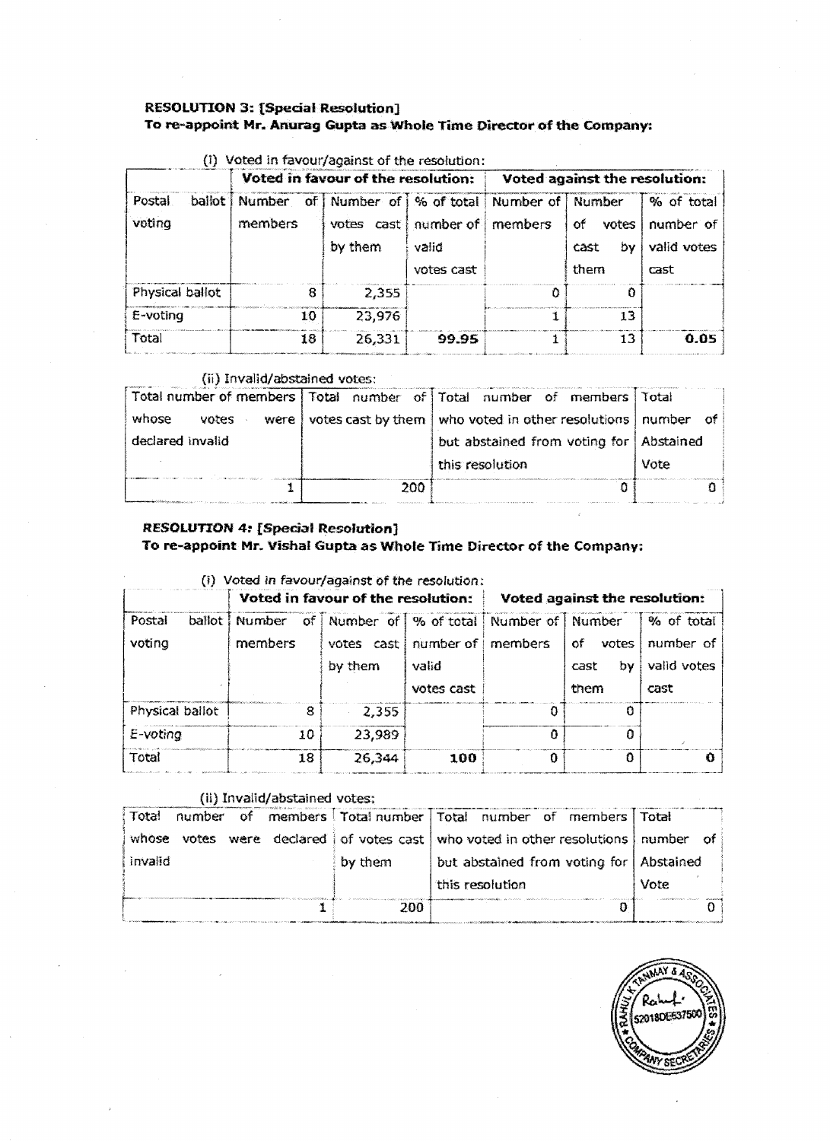# **RESOLUTION 3: [Special Resolution]** To re-appoint Mr. Anurag Gupta as Whole Time Director of the Company:

|                             |                   | Voted in favour of the resolution:                                                            |                     | Voted against the resolution: |                                   |                                                |
|-----------------------------|-------------------|-----------------------------------------------------------------------------------------------|---------------------|-------------------------------|-----------------------------------|------------------------------------------------|
| ballot.<br>Postal<br>voting | Number<br>members | of Number of   % of total   Number of   Number<br>votes cast   number of   members<br>by them | valid<br>votes cast |                               | оf<br>votes<br>b٧<br>cast<br>them | % of total<br>number of<br>valid votes<br>cast |
| Physical ballot             | 8                 | 2,355                                                                                         |                     | Ω                             | n                                 |                                                |
| E-voting                    | 10                | 23,976                                                                                        |                     |                               | 13                                |                                                |
| Total                       | 18                | 26,331                                                                                        | 99.95               |                               | 13                                | 0.05                                           |

# $(i)$  Voted in favour/against of the resolution:

#### (ii) Invalid/abstained votes:

|                          |     | Total number of members   Total number of   Total number of members | Total |
|--------------------------|-----|---------------------------------------------------------------------|-------|
| whose<br>votes<br>were l |     | votes cast by them   who voted in other resolutions   number of     |       |
| declared invalid         |     | but abstained from voting for   Abstained                           |       |
|                          |     | this resolution                                                     | Vote  |
|                          | 200 |                                                                     |       |

# **RESOLUTION 4: [Special Resolution]** To re-appoint Mr. Vishal Gupta as Whole Time Director of the Company:

|                  | Voted in favour of the resolution: |                                                                                        |                     | Voted against the resolution: |                                   |                                                |
|------------------|------------------------------------|----------------------------------------------------------------------------------------|---------------------|-------------------------------|-----------------------------------|------------------------------------------------|
| Postal<br>voting | σf<br>ballot   Number<br>members   | Number of   % of total   Number of   Number<br>votes cast number of members<br>by them | valid<br>votes cast |                               | of<br>votes<br>bv<br>cast<br>them | % of total<br>number of<br>valid votes<br>cast |
| Physical ballot  | 8                                  | 2,355                                                                                  |                     |                               |                                   |                                                |
| E-voting         | 10                                 | 23,989                                                                                 |                     | Ω                             | п                                 |                                                |
| Total            | 18                                 | 26,344                                                                                 | 100                 |                               |                                   |                                                |

## (ii) Invalid/abstained votes;

| Total<br>of.<br>number. |         | members   Total number   Total number of members   Total   |           |
|-------------------------|---------|------------------------------------------------------------|-----------|
| whose<br>votes          |         | were declared of votes cast who voted in other resolutions | number of |
| invalid                 | by them | but abstained from voting for Abstained                    |           |
|                         |         | this resolution                                            | Vote      |
|                         | 200     |                                                            |           |

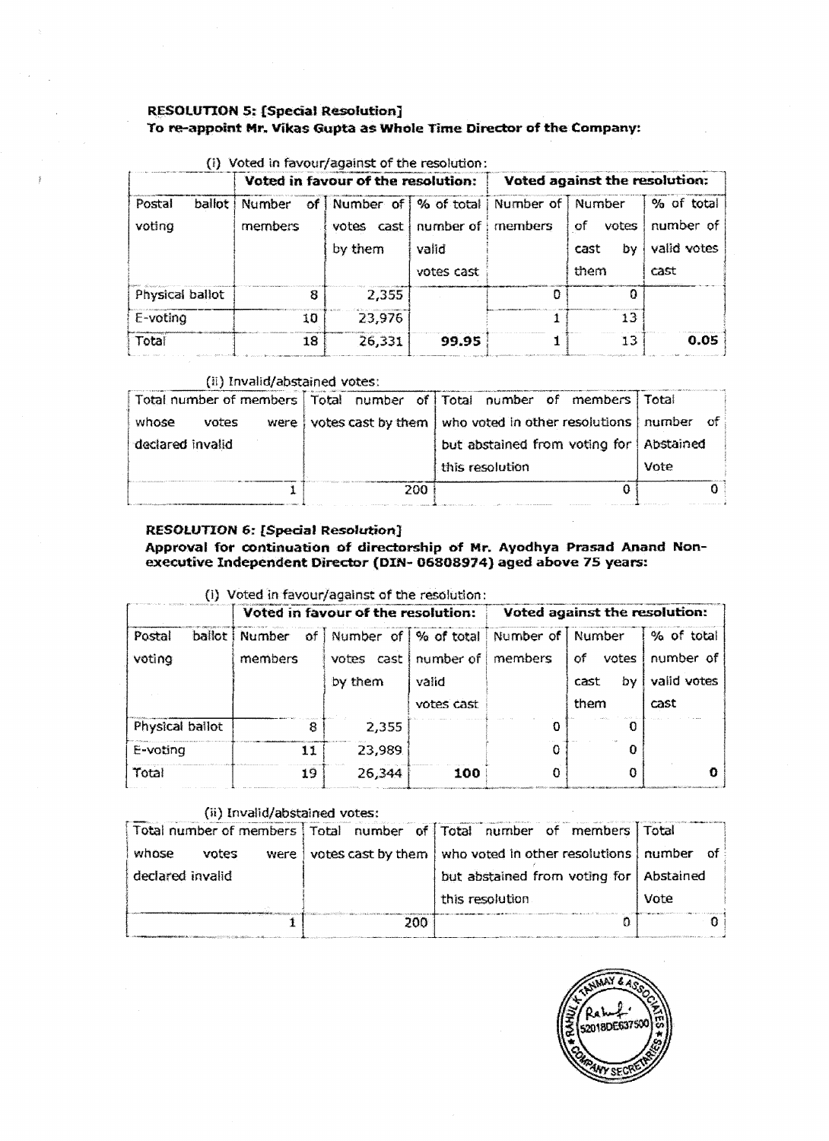# **RESOLUTION 5: {Special Resolution] To re-appoint** Mr~ **Vikas Gupta as Whole Time Director of the Company:**

|                              | Voted in favour of the resolution: |                                                                                                 |                     | Voted against the resolution: |                                    |                                                |
|------------------------------|------------------------------------|-------------------------------------------------------------------------------------------------|---------------------|-------------------------------|------------------------------------|------------------------------------------------|
| ballot i<br>Postal<br>voting | <b>Number</b><br>members           | of Number of   % of total   Number of   Number<br>votes $cast   number of   members$<br>by them | valid<br>votes cast |                               | votes<br>of.<br>cast<br>b٧<br>them | % of total<br>number of<br>valid votes<br>cast |
| Physical ballot              | 8                                  | 2.355                                                                                           |                     |                               | n                                  |                                                |
| E-voting                     | 10                                 | 23.976                                                                                          |                     |                               | 13                                 |                                                |
| Total                        | 18                                 | 26,331                                                                                          | 99.95               |                               | 13                                 | 0.05                                           |

# (i) Voted in favour/anainst of the resolution

# (ii) Invalid/abstained votes:

|                         |      | Total number of members   Total number of   Total number of members   Total |      |
|-------------------------|------|-----------------------------------------------------------------------------|------|
| whose<br>votes<br>were! |      | votes cast by them who voted in other resolutions   number of               |      |
| declared invalid        |      | but abstained from voting for   Abstained                                   |      |
|                         |      | this resolution                                                             | Vote |
|                         | 200. |                                                                             |      |

#### **RESOlUTION 6: [Special Resolution}**

#### Approval for continuation of directorship of Mr. Ayodhya Prasad Anand Non**executive Independent Director (DIN- 06808974) aged above 75 years:**

#### {i) Voted in favour/against of the resolution: .... ·--·-------- - -------------------r- **Voted in favour of the resolution: i Voted against the resolution:**

|                 |                       | Voted in favour of the resolution: |                  |                    | Voted against the resolution: |             |
|-----------------|-----------------------|------------------------------------|------------------|--------------------|-------------------------------|-------------|
| Postal          | ballot   Number<br>of | Number of   % of total             |                  | Number of   Number |                               | % of total  |
| voting          | members               | votes                              | cast   number of | members            | votes<br>of                   | number of   |
|                 |                       | by them                            | valid            |                    | b٧<br>cast                    | valid votes |
|                 |                       |                                    | votes cast       |                    | them                          | cast        |
| Physical ballot | 8                     | 2,355                              |                  |                    |                               |             |
| E-voting        | 11                    | 23,989                             |                  |                    | n                             |             |
| Total           | 19                    | 26,344                             | 100              |                    |                               |             |

# (ii) Invalid/abstained votes:

| $\mathbf{r}$ , and $\mathbf{r}$ , and $\mathbf{r}$ , and $\mathbf{r}$ , $\mathbf{r}$ , $\mathbf{r}$ , $\mathbf{r}$ , $\mathbf{r}$ , $\mathbf{r}$ , $\mathbf{r}$ , $\mathbf{r}$ , $\mathbf{r}$ , $\mathbf{r}$ , $\mathbf{r}$ , $\mathbf{r}$ , $\mathbf{r}$ , $\mathbf{r}$ , $\mathbf{r}$ , $\mathbf{r}$ , |     |                                                                             |      |
|----------------------------------------------------------------------------------------------------------------------------------------------------------------------------------------------------------------------------------------------------------------------------------------------------------|-----|-----------------------------------------------------------------------------|------|
|                                                                                                                                                                                                                                                                                                          |     | Total number of members   Total number of   Total number of members   Total |      |
| whose<br>votes<br>were t                                                                                                                                                                                                                                                                                 |     | votes cast by them   who voted in other resolutions   number of             |      |
| declared invalid                                                                                                                                                                                                                                                                                         |     | but abstained from voting for   Abstained                                   |      |
|                                                                                                                                                                                                                                                                                                          |     | this resolution                                                             | Vote |
|                                                                                                                                                                                                                                                                                                          | 200 |                                                                             |      |